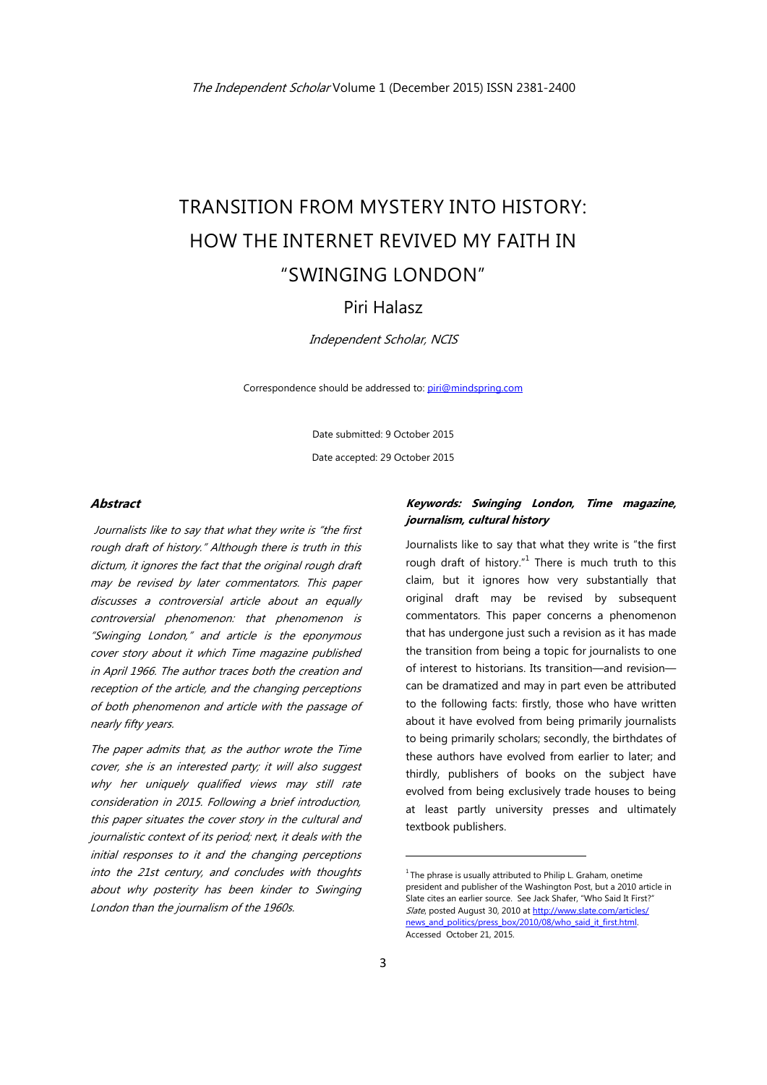# TRANSITION FROM MYSTERY INTO HISTORY: HOW THE INTERNET REVIVED MY FAITH IN "SWINGING LONDON"

## Piri Halasz

Independent Scholar, NCIS

Correspondence should be addressed to: piri@mindspring.com

Date submitted: 9 October 2015 Date accepted: 29 October 2015

#### **Abstract**

Journalists like to say that what they write is "the first rough draft of history." Although there is truth in this dictum, it ignores the fact that the original rough draft may be revised by later commentators. This paper discusses a controversial article about an equally controversial phenomenon: that phenomenon is "Swinging London," and article is the eponymous cover story about it which Time magazine published in April 1966. The author traces both the creation and reception of the article, and the changing perceptions of both phenomenon and article with the passage of nearly fifty years.

The paper admits that, as the author wrote the Time cover, she is an interested party; it will also suggest why her uniquely qualified views may still rate consideration in 2015. Following a brief introduction, this paper situates the cover story in the cultural and journalistic context of its period; next, it deals with the initial responses to it and the changing perceptions into the 21st century, and concludes with thoughts about why posterity has been kinder to Swinging London than the journalism of the 1960s.

## **Keywords: Swinging London, Time magazine, journalism, cultural history**

Journalists like to say that what they write is "the first rough draft of history." $1$  There is much truth to this claim, but it ignores how very substantially that original draft may be revised by subsequent commentators. This paper concerns a phenomenon that has undergone just such a revision as it has made the transition from being a topic for journalists to one of interest to historians. Its transition—and revision can be dramatized and may in part even be attributed to the following facts: firstly, those who have written about it have evolved from being primarily journalists to being primarily scholars; secondly, the birthdates of these authors have evolved from earlier to later; and thirdly, publishers of books on the subject have evolved from being exclusively trade houses to being at least partly university presses and ultimately textbook publishers.

 $1$ <sup>1</sup> The phrase is usually attributed to Philip L. Graham, onetime president and publisher of the Washington Post, but a 2010 article in Slate cites an earlier source. See Jack Shafer, "Who Said It First?" Slate, posted August 30, 2010 at http://www.slate.com/articles/ news\_and\_politics/press\_box/2010/08/who\_said\_it\_first.html. Accessed October 21, 2015.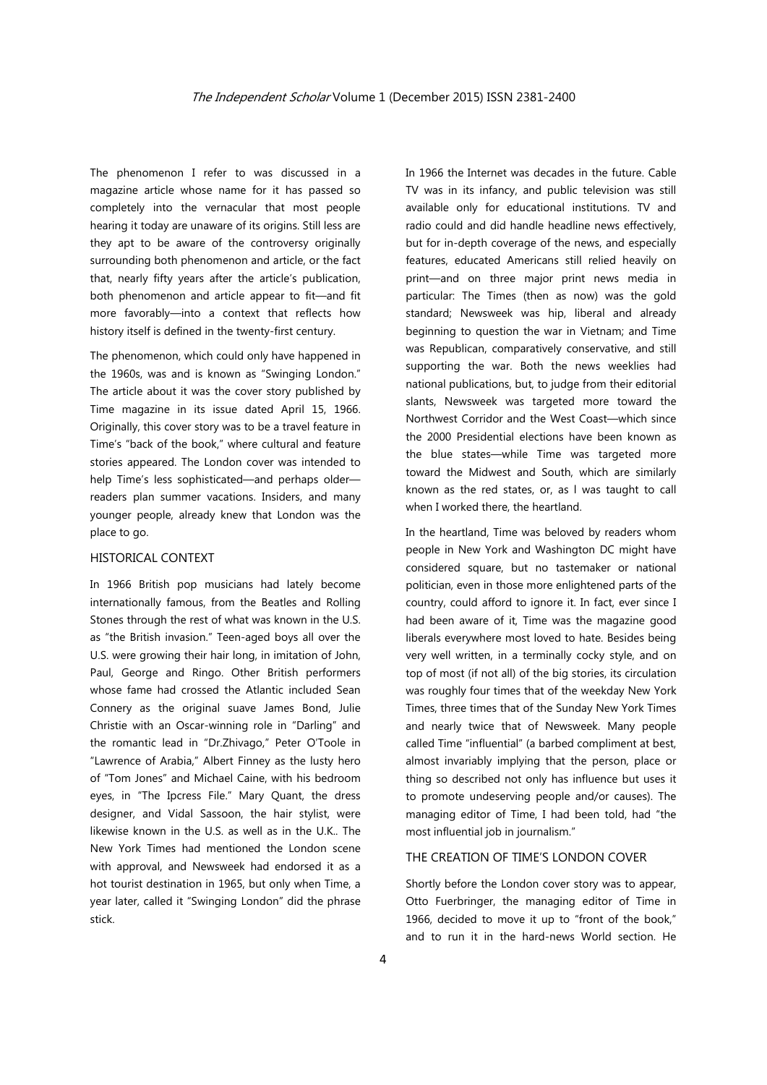The phenomenon I refer to was discussed in a magazine article whose name for it has passed so completely into the vernacular that most people hearing it today are unaware of its origins. Still less are they apt to be aware of the controversy originally surrounding both phenomenon and article, or the fact that, nearly fifty years after the article's publication, both phenomenon and article appear to fit—and fit more favorably—into a context that reflects how history itself is defined in the twenty-first century.

The phenomenon, which could only have happened in the 1960s, was and is known as "Swinging London." The article about it was the cover story published by Time magazine in its issue dated April 15, 1966. Originally, this cover story was to be a travel feature in Time's "back of the book," where cultural and feature stories appeared. The London cover was intended to help Time's less sophisticated—and perhaps older readers plan summer vacations. Insiders, and many younger people, already knew that London was the place to go.

#### HISTORICAL CONTEXT

In 1966 British pop musicians had lately become internationally famous, from the Beatles and Rolling Stones through the rest of what was known in the U.S. as "the British invasion." Teen-aged boys all over the U.S. were growing their hair long, in imitation of John, Paul, George and Ringo. Other British performers whose fame had crossed the Atlantic included Sean Connery as the original suave James Bond, Julie Christie with an Oscar-winning role in "Darling" and the romantic lead in "Dr.Zhivago," Peter O'Toole in "Lawrence of Arabia," Albert Finney as the lusty hero of "Tom Jones" and Michael Caine, with his bedroom eyes, in "The Ipcress File." Mary Quant, the dress designer, and Vidal Sassoon, the hair stylist, were likewise known in the U.S. as well as in the U.K.. The New York Times had mentioned the London scene with approval, and Newsweek had endorsed it as a hot tourist destination in 1965, but only when Time, a year later, called it "Swinging London" did the phrase stick.

In 1966 the Internet was decades in the future. Cable TV was in its infancy, and public television was still available only for educational institutions. TV and radio could and did handle headline news effectively, but for in-depth coverage of the news, and especially features, educated Americans still relied heavily on print—and on three major print news media in particular: The Times (then as now) was the gold standard; Newsweek was hip, liberal and already beginning to question the war in Vietnam; and Time was Republican, comparatively conservative, and still supporting the war. Both the news weeklies had national publications, but, to judge from their editorial slants, Newsweek was targeted more toward the Northwest Corridor and the West Coast—which since the 2000 Presidential elections have been known as the blue states—while Time was targeted more toward the Midwest and South, which are similarly known as the red states, or, as l was taught to call when I worked there, the heartland.

In the heartland, Time was beloved by readers whom people in New York and Washington DC might have considered square, but no tastemaker or national politician, even in those more enlightened parts of the country, could afford to ignore it. In fact, ever since I had been aware of it, Time was the magazine good liberals everywhere most loved to hate. Besides being very well written, in a terminally cocky style, and on top of most (if not all) of the big stories, its circulation was roughly four times that of the weekday New York Times, three times that of the Sunday New York Times and nearly twice that of Newsweek. Many people called Time "influential" (a barbed compliment at best, almost invariably implying that the person, place or thing so described not only has influence but uses it to promote undeserving people and/or causes). The managing editor of Time, I had been told, had "the most influential job in journalism."

#### THE CREATION OF TIME'S LONDON COVER

Shortly before the London cover story was to appear, Otto Fuerbringer, the managing editor of Time in 1966, decided to move it up to "front of the book," and to run it in the hard-news World section. He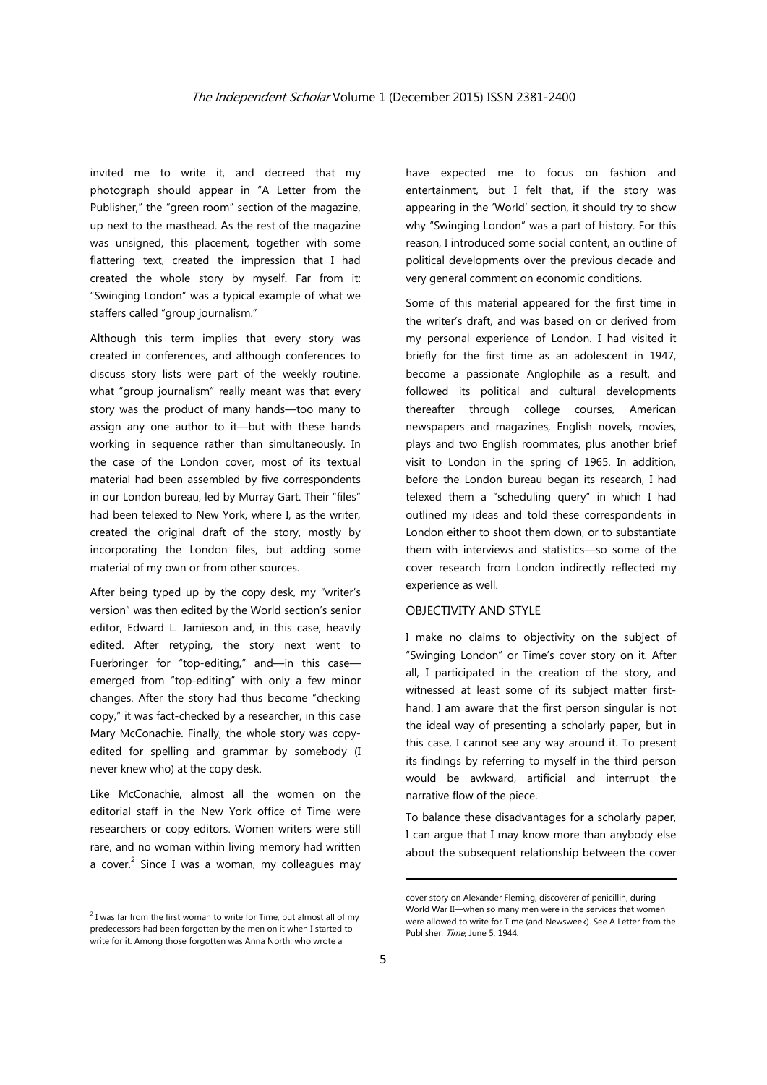invited me to write it, and decreed that my photograph should appear in "A Letter from the Publisher," the "green room" section of the magazine, up next to the masthead. As the rest of the magazine was unsigned, this placement, together with some flattering text, created the impression that I had created the whole story by myself. Far from it: "Swinging London" was a typical example of what we staffers called "group journalism."

Although this term implies that every story was created in conferences, and although conferences to discuss story lists were part of the weekly routine, what "group journalism" really meant was that every story was the product of many hands—too many to assign any one author to it—but with these hands working in sequence rather than simultaneously. In the case of the London cover, most of its textual material had been assembled by five correspondents in our London bureau, led by Murray Gart. Their "files" had been telexed to New York, where I, as the writer, created the original draft of the story, mostly by incorporating the London files, but adding some material of my own or from other sources.

After being typed up by the copy desk, my "writer's version" was then edited by the World section's senior editor, Edward L. Jamieson and, in this case, heavily edited. After retyping, the story next went to Fuerbringer for "top-editing," and—in this case emerged from "top-editing" with only a few minor changes. After the story had thus become "checking copy," it was fact-checked by a researcher, in this case Mary McConachie. Finally, the whole story was copyedited for spelling and grammar by somebody (I never knew who) at the copy desk.

Like McConachie, almost all the women on the editorial staff in the New York office of Time were researchers or copy editors. Women writers were still rare, and no woman within living memory had written a cover. $^2$  Since I was a woman, my colleagues may

have expected me to focus on fashion and entertainment, but I felt that, if the story was appearing in the 'World' section, it should try to show why "Swinging London" was a part of history. For this reason, I introduced some social content, an outline of political developments over the previous decade and very general comment on economic conditions.

Some of this material appeared for the first time in the writer's draft, and was based on or derived from my personal experience of London. I had visited it briefly for the first time as an adolescent in 1947, become a passionate Anglophile as a result, and followed its political and cultural developments thereafter through college courses, American newspapers and magazines, English novels, movies, plays and two English roommates, plus another brief visit to London in the spring of 1965. In addition, before the London bureau began its research, I had telexed them a "scheduling query" in which I had outlined my ideas and told these correspondents in London either to shoot them down, or to substantiate them with interviews and statistics—so some of the cover research from London indirectly reflected my experience as well.

#### OBJECTIVITY AND STYLE

I make no claims to objectivity on the subject of "Swinging London" or Time's cover story on it. After all, I participated in the creation of the story, and witnessed at least some of its subject matter firsthand. I am aware that the first person singular is not the ideal way of presenting a scholarly paper, but in this case, I cannot see any way around it. To present its findings by referring to myself in the third person would be awkward, artificial and interrupt the narrative flow of the piece.

To balance these disadvantages for a scholarly paper, I can argue that I may know more than anybody else about the subsequent relationship between the cover

<u> Andrew Maria (1989)</u>

 $2$  I was far from the first woman to write for Time, but almost all of my predecessors had been forgotten by the men on it when I started to write for it. Among those forgotten was Anna North, who wrote a

cover story on Alexander Fleming, discoverer of penicillin, during World War II—when so many men were in the services that women were allowed to write for Time (and Newsweek). See A Letter from the Publisher, Time, June 5, 1944.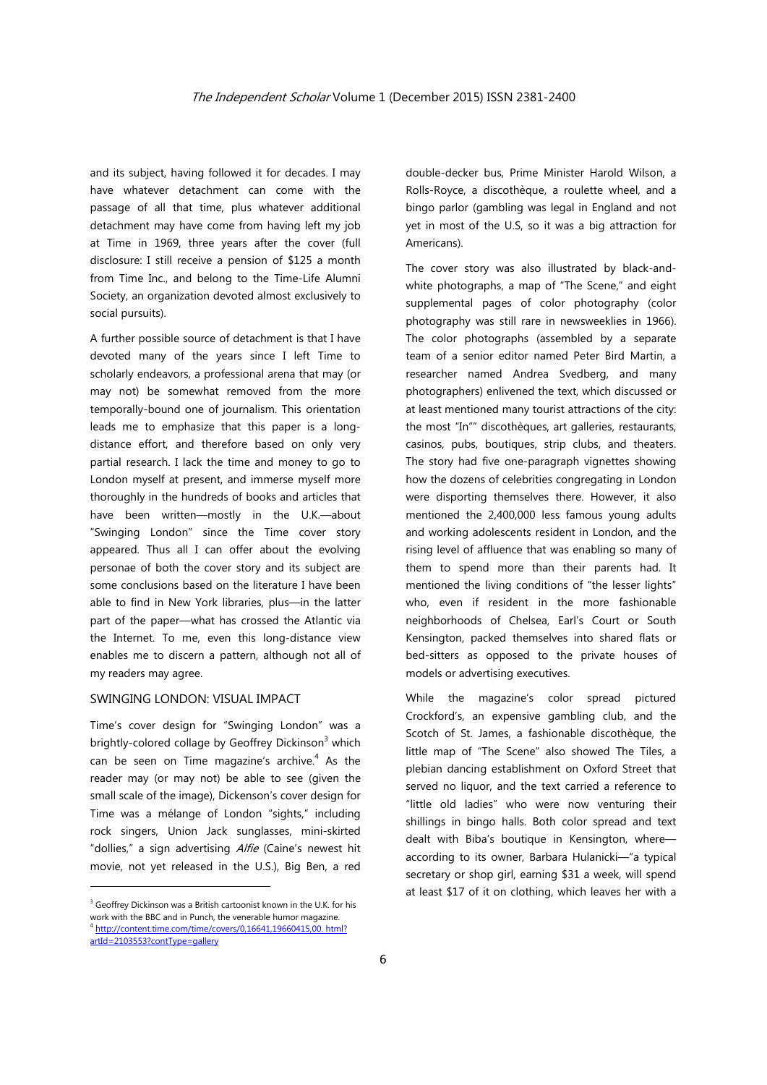and its subject, having followed it for decades. I may have whatever detachment can come with the passage of all that time, plus whatever additional detachment may have come from having left my job at Time in 1969, three years after the cover (full disclosure: I still receive a pension of \$125 a month from Time Inc., and belong to the Time-Life Alumni Society, an organization devoted almost exclusively to social pursuits).

A further possible source of detachment is that I have devoted many of the years since I left Time to scholarly endeavors, a professional arena that may (or may not) be somewhat removed from the more temporally-bound one of journalism. This orientation leads me to emphasize that this paper is a longdistance effort, and therefore based on only very partial research. I lack the time and money to go to London myself at present, and immerse myself more thoroughly in the hundreds of books and articles that have been written—mostly in the U.K.—about "Swinging London" since the Time cover story appeared. Thus all I can offer about the evolving personae of both the cover story and its subject are some conclusions based on the literature I have been able to find in New York libraries, plus—in the latter part of the paper—what has crossed the Atlantic via the Internet. To me, even this long-distance view enables me to discern a pattern, although not all of my readers may agree.

## SWINGING LONDON: VISUAL IMPACT

Time's cover design for "Swinging London" was a brightly-colored collage by Geoffrey Dickinson<sup>3</sup> which can be seen on Time magazine's archive. $4$  As the reader may (or may not) be able to see (given the small scale of the image), Dickenson's cover design for Time was a mélange of London "sights," including rock singers, Union Jack sunglasses, mini-skirted "dollies," a sign advertising Alfie (Caine's newest hit movie, not yet released in the U.S.), Big Ben, a red

<u> Andrew Maria (1989)</u>

double-decker bus, Prime Minister Harold Wilson, a Rolls-Royce, a discothèque, a roulette wheel, and a bingo parlor (gambling was legal in England and not yet in most of the U.S, so it was a big attraction for Americans).

The cover story was also illustrated by black-andwhite photographs, a map of "The Scene," and eight supplemental pages of color photography (color photography was still rare in newsweeklies in 1966). The color photographs (assembled by a separate team of a senior editor named Peter Bird Martin, a researcher named Andrea Svedberg, and many photographers) enlivened the text, which discussed or at least mentioned many tourist attractions of the city: the most "In"" discothèques, art galleries, restaurants, casinos, pubs, boutiques, strip clubs, and theaters. The story had five one-paragraph vignettes showing how the dozens of celebrities congregating in London were disporting themselves there. However, it also mentioned the 2,400,000 less famous young adults and working adolescents resident in London, and the rising level of affluence that was enabling so many of them to spend more than their parents had. It mentioned the living conditions of "the lesser lights" who, even if resident in the more fashionable neighborhoods of Chelsea, Earl's Court or South Kensington, packed themselves into shared flats or bed-sitters as opposed to the private houses of models or advertising executives.

While the magazine's color spread pictured Crockford's, an expensive gambling club, and the Scotch of St. James, a fashionable discothèque, the little map of "The Scene" also showed The Tiles, a plebian dancing establishment on Oxford Street that served no liquor, and the text carried a reference to "little old ladies" who were now venturing their shillings in bingo halls. Both color spread and text dealt with Biba's boutique in Kensington, where according to its owner, Barbara Hulanicki—"a typical secretary or shop girl, earning \$31 a week, will spend at least \$17 of it on clothing, which leaves her with a

<sup>&</sup>lt;sup>3</sup> Geoffrey Dickinson was a British cartoonist known in the U.K. for his work with the BBC and in Punch, the venerable humor magazine. <sup>4</sup> http://content.time.com/time/covers/0,16641,19660415,00. html? artId=2103553?contType=gallery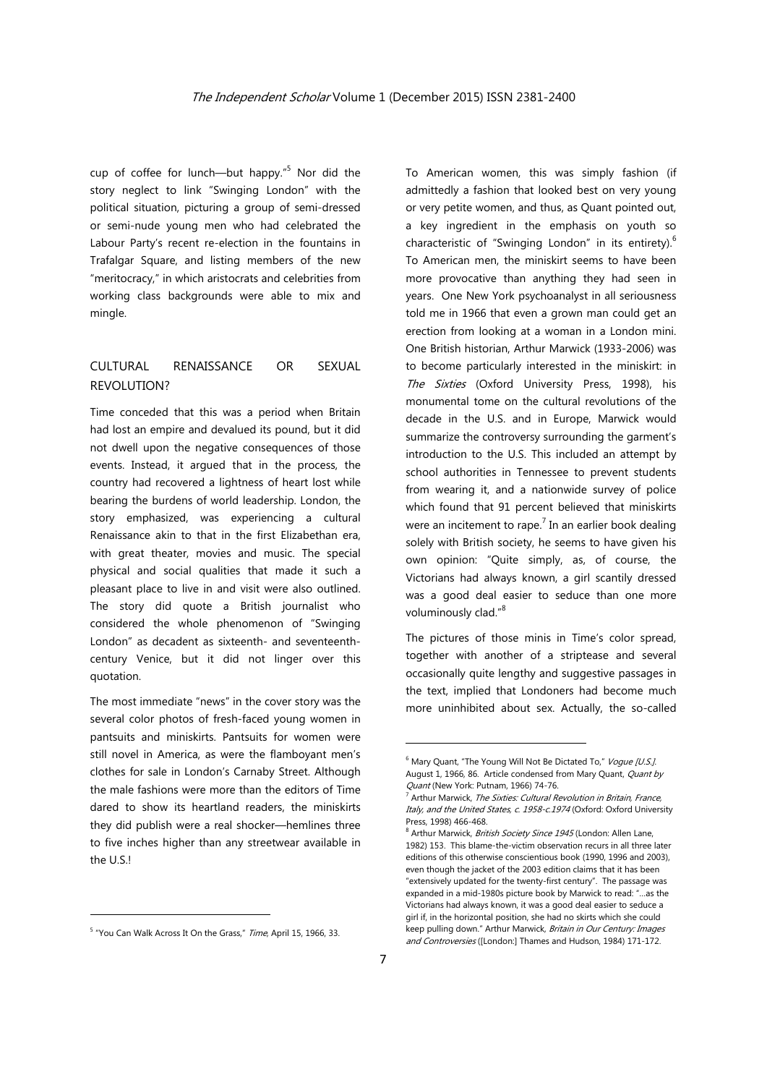cup of coffee for lunch—but happy."<sup>5</sup> Nor did the story neglect to link "Swinging London" with the political situation, picturing a group of semi-dressed or semi-nude young men who had celebrated the Labour Party's recent re-election in the fountains in Trafalgar Square, and listing members of the new "meritocracy," in which aristocrats and celebrities from working class backgrounds were able to mix and mingle.

## CULTURAL RENAISSANCE OR SEXUAL REVOLUTION?

Time conceded that this was a period when Britain had lost an empire and devalued its pound, but it did not dwell upon the negative consequences of those events. Instead, it argued that in the process, the country had recovered a lightness of heart lost while bearing the burdens of world leadership. London, the story emphasized, was experiencing a cultural Renaissance akin to that in the first Elizabethan era, with great theater, movies and music. The special physical and social qualities that made it such a pleasant place to live in and visit were also outlined. The story did quote a British journalist who considered the whole phenomenon of "Swinging London" as decadent as sixteenth- and seventeenthcentury Venice, but it did not linger over this quotation.

The most immediate "news" in the cover story was the several color photos of fresh-faced young women in pantsuits and miniskirts. Pantsuits for women were still novel in America, as were the flamboyant men's clothes for sale in London's Carnaby Street. Although the male fashions were more than the editors of Time dared to show its heartland readers, the miniskirts they did publish were a real shocker—hemlines three to five inches higher than any streetwear available in the U.S.!

To American women, this was simply fashion (if admittedly a fashion that looked best on very young or very petite women, and thus, as Quant pointed out, a key ingredient in the emphasis on youth so characteristic of "Swinging London" in its entirety). $6$ To American men, the miniskirt seems to have been more provocative than anything they had seen in years. One New York psychoanalyst in all seriousness told me in 1966 that even a grown man could get an erection from looking at a woman in a London mini. One British historian, Arthur Marwick (1933-2006) was to become particularly interested in the miniskirt: in The Sixties (Oxford University Press, 1998), his monumental tome on the cultural revolutions of the decade in the U.S. and in Europe, Marwick would summarize the controversy surrounding the garment's introduction to the U.S. This included an attempt by school authorities in Tennessee to prevent students from wearing it, and a nationwide survey of police which found that 91 percent believed that miniskirts were an incitement to rape.<sup>7</sup> In an earlier book dealing solely with British society, he seems to have given his own opinion: "Quite simply, as, of course, the Victorians had always known, a girl scantily dressed was a good deal easier to seduce than one more voluminously clad."<sup>8</sup>

The pictures of those minis in Time's color spread, together with another of a striptease and several occasionally quite lengthy and suggestive passages in the text, implied that Londoners had become much more uninhibited about sex. Actually, the so-called

<sup>&</sup>lt;sup>5</sup> "You Can Walk Across It On the Grass," Time, April 15, 1966, 33.

<sup>&</sup>lt;sup>6</sup> Mary Quant, "The Young Will Not Be Dictated To," Vogue [U.S.] August 1, 1966, 86. Article condensed from Mary Quant, *Quant by* Quant (New York: Putnam, 1966) 74-76.

Arthur Marwick, The Sixties: Cultural Revolution in Britain, France, Italy, and the United States, c. 1958-c.1974 (Oxford: Oxford University Press, 1998) 466-468.

<sup>&</sup>lt;sup>8</sup> Arthur Marwick, British Society Since 1945 (London: Allen Lane, 1982) 153. This blame-the-victim observation recurs in all three later editions of this otherwise conscientious book (1990, 1996 and 2003), even though the jacket of the 2003 edition claims that it has been "extensively updated for the twenty-first century". The passage was expanded in a mid-1980s picture book by Marwick to read: "…as the Victorians had always known, it was a good deal easier to seduce a girl if, in the horizontal position, she had no skirts which she could keep pulling down." Arthur Marwick, Britain in Our Century: Images and Controversies ([London:] Thames and Hudson, 1984) 171-172.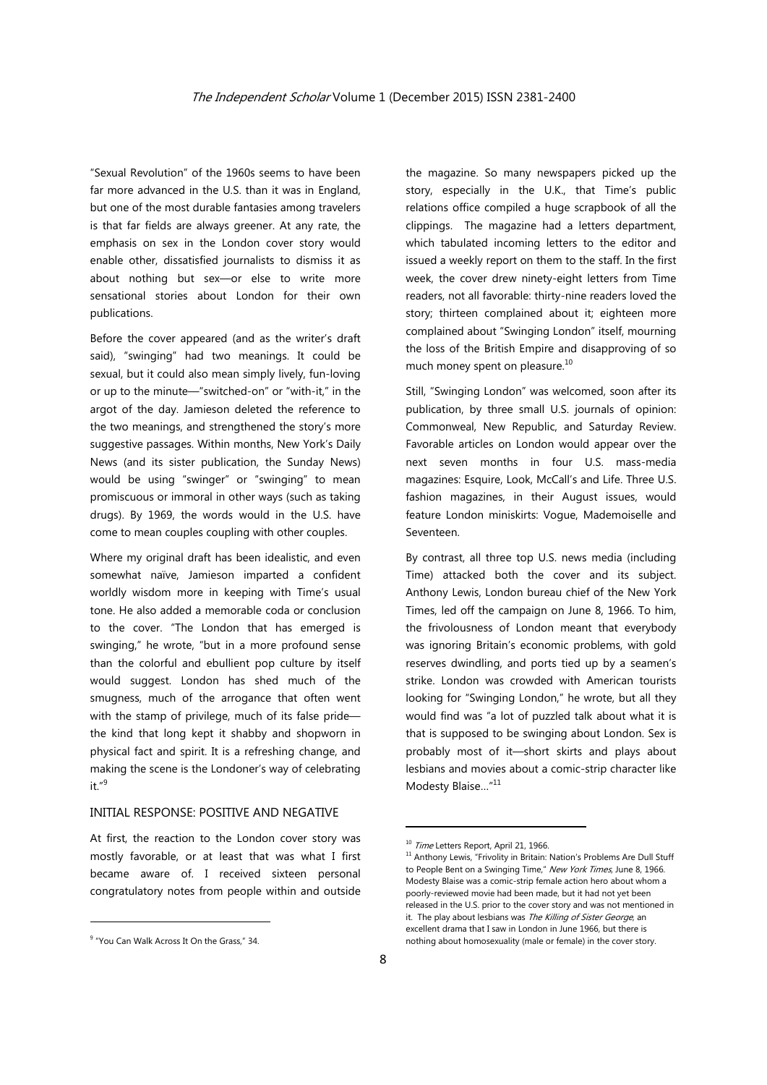"Sexual Revolution" of the 1960s seems to have been far more advanced in the U.S. than it was in England, but one of the most durable fantasies among travelers is that far fields are always greener. At any rate, the emphasis on sex in the London cover story would enable other, dissatisfied journalists to dismiss it as about nothing but sex—or else to write more sensational stories about London for their own publications.

Before the cover appeared (and as the writer's draft said), "swinging" had two meanings. It could be sexual, but it could also mean simply lively, fun-loving or up to the minute—"switched-on" or "with-it," in the argot of the day. Jamieson deleted the reference to the two meanings, and strengthened the story's more suggestive passages. Within months, New York's Daily News (and its sister publication, the Sunday News) would be using "swinger" or "swinging" to mean promiscuous or immoral in other ways (such as taking drugs). By 1969, the words would in the U.S. have come to mean couples coupling with other couples.

Where my original draft has been idealistic, and even somewhat naïve, Jamieson imparted a confident worldly wisdom more in keeping with Time's usual tone. He also added a memorable coda or conclusion to the cover. "The London that has emerged is swinging," he wrote, "but in a more profound sense than the colorful and ebullient pop culture by itself would suggest. London has shed much of the smugness, much of the arrogance that often went with the stamp of privilege, much of its false pride the kind that long kept it shabby and shopworn in physical fact and spirit. It is a refreshing change, and making the scene is the Londoner's way of celebrating  $it$   $n9$ 

#### INITIAL RESPONSE: POSITIVE AND NEGATIVE

At first, the reaction to the London cover story was mostly favorable, or at least that was what I first became aware of. I received sixteen personal congratulatory notes from people within and outside

the magazine. So many newspapers picked up the story, especially in the U.K., that Time's public relations office compiled a huge scrapbook of all the clippings. The magazine had a letters department, which tabulated incoming letters to the editor and issued a weekly report on them to the staff. In the first week, the cover drew ninety-eight letters from Time readers, not all favorable: thirty-nine readers loved the story; thirteen complained about it; eighteen more complained about "Swinging London" itself, mourning the loss of the British Empire and disapproving of so much money spent on pleasure.<sup>10</sup>

Still, "Swinging London" was welcomed, soon after its publication, by three small U.S. journals of opinion: Commonweal, New Republic, and Saturday Review. Favorable articles on London would appear over the next seven months in four U.S. mass-media magazines: Esquire, Look, McCall's and Life. Three U.S. fashion magazines, in their August issues, would feature London miniskirts: Vogue, Mademoiselle and Seventeen.

By contrast, all three top U.S. news media (including Time) attacked both the cover and its subject. Anthony Lewis, London bureau chief of the New York Times, led off the campaign on June 8, 1966. To him, the frivolousness of London meant that everybody was ignoring Britain's economic problems, with gold reserves dwindling, and ports tied up by a seamen's strike. London was crowded with American tourists looking for "Swinging London," he wrote, but all they would find was "a lot of puzzled talk about what it is that is supposed to be swinging about London. Sex is probably most of it—short skirts and plays about lesbians and movies about a comic-strip character like Modesty Blaise..."<sup>11</sup>

<sup>&</sup>lt;u> Andrew Maria (1989)</u> <sup>9</sup> "You Can Walk Across It On the Grass," 34.

<sup>&</sup>lt;sup>10</sup> Time Letters Report, April 21, 1966.<br><sup>11</sup> Anthony Lewis, "Frivolity in Britain: Nation's Problems Are Dull Stuff to People Bent on a Swinging Time," New York Times, June 8, 1966. Modesty Blaise was a comic-strip female action hero about whom a poorly-reviewed movie had been made, but it had not yet been released in the U.S. prior to the cover story and was not mentioned in it. The play about lesbians was The Killing of Sister George, an excellent drama that I saw in London in June 1966, but there is nothing about homosexuality (male or female) in the cover story.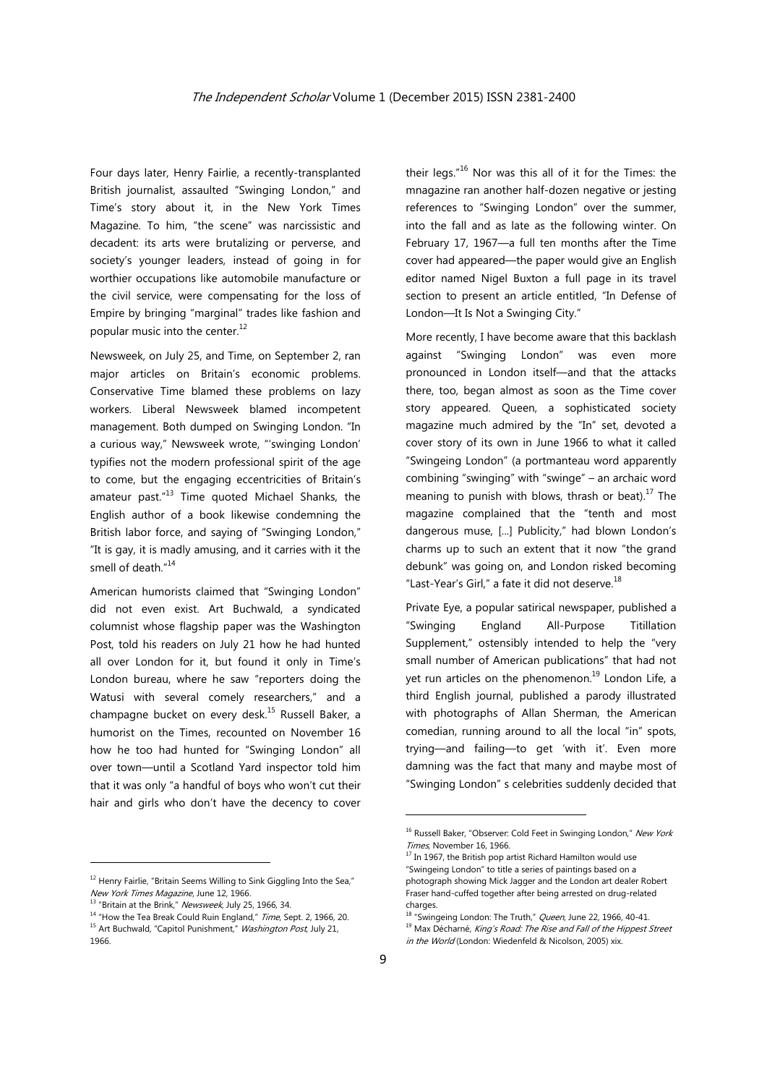Four days later, Henry Fairlie, a recently-transplanted British journalist, assaulted "Swinging London," and Time's story about it, in the New York Times Magazine. To him, "the scene" was narcissistic and decadent: its arts were brutalizing or perverse, and society's younger leaders, instead of going in for worthier occupations like automobile manufacture or the civil service, were compensating for the loss of Empire by bringing "marginal" trades like fashion and popular music into the center.<sup>12</sup>

Newsweek, on July 25, and Time, on September 2, ran major articles on Britain's economic problems. Conservative Time blamed these problems on lazy workers. Liberal Newsweek blamed incompetent management. Both dumped on Swinging London. "In a curious way," Newsweek wrote, "'swinging London' typifies not the modern professional spirit of the age to come, but the engaging eccentricities of Britain's amateur past."13 Time quoted Michael Shanks, the English author of a book likewise condemning the British labor force, and saying of "Swinging London," "It is gay, it is madly amusing, and it carries with it the smell of death."<sup>14</sup>

American humorists claimed that "Swinging London" did not even exist. Art Buchwald, a syndicated columnist whose flagship paper was the Washington Post, told his readers on July 21 how he had hunted all over London for it, but found it only in Time's London bureau, where he saw "reporters doing the Watusi with several comely researchers," and a champagne bucket on every desk.<sup>15</sup> Russell Baker, a humorist on the Times, recounted on November 16 how he too had hunted for "Swinging London" all over town—until a Scotland Yard inspector told him that it was only "a handful of boys who won't cut their hair and girls who don't have the decency to cover

their legs."16 Nor was this all of it for the Times: the mnagazine ran another half-dozen negative or jesting references to "Swinging London" over the summer, into the fall and as late as the following winter. On February 17, 1967—a full ten months after the Time cover had appeared—the paper would give an English editor named Nigel Buxton a full page in its travel section to present an article entitled, "In Defense of London—It Is Not a Swinging City."

More recently, I have become aware that this backlash against "Swinging London" was even more pronounced in London itself—and that the attacks there, too, began almost as soon as the Time cover story appeared. Queen, a sophisticated society magazine much admired by the "In" set, devoted a cover story of its own in June 1966 to what it called "Swingeing London" (a portmanteau word apparently combining "swinging" with "swinge" – an archaic word meaning to punish with blows, thrash or beat). $^{17}$  The magazine complained that the "tenth and most dangerous muse, [...] Publicity," had blown London's charms up to such an extent that it now "the grand debunk" was going on, and London risked becoming "Last-Year's Girl," a fate it did not deserve. $^{18}$ 

Private Eye, a popular satirical newspaper, published a "Swinging England All-Purpose Titillation Supplement," ostensibly intended to help the "very small number of American publications" that had not yet run articles on the phenomenon.<sup>19</sup> London Life, a third English journal, published a parody illustrated with photographs of Allan Sherman, the American comedian, running around to all the local "in" spots, trying—and failing—to get 'with it'. Even more damning was the fact that many and maybe most of "Swinging London" s celebrities suddenly decided that

<sup>&</sup>lt;sup>12</sup> Henry Fairlie, "Britain Seems Willing to Sink Giggling Into the Sea,"

New York Times Magazine, June 12, 1966.<br><sup>13</sup> "Britain at the Brink," *Newsweek*, July 25, 1966, 34.<br><sup>14</sup> "How the Tea Break Could Ruin England," *Time*, Sept. 2, 1966, 20.<br><sup>15</sup> Art Buchwald, "Capitol Punishment," *Washingt* 1966.

<sup>&</sup>lt;sup>16</sup> Russell Baker, "Observer: Cold Feet in Swinging London," New York

Times, November 16, 1966.<br><sup>17</sup> In 1967, the British pop artist Richard Hamilton would use "Swingeing London" to title a series of paintings based on a photograph showing Mick Jagger and the London art dealer Robert Fraser hand-cuffed together after being arrested on drug-related charges.

<sup>&</sup>lt;sup>18</sup> "Swingeing London: The Truth," *Queen*, June 22, 1966, 40-41.<br><sup>19</sup> Max Décharné, *King's Road: The Rise and Fall of the Hippest Street* 

in the World (London: Wiedenfeld & Nicolson, 2005) xix.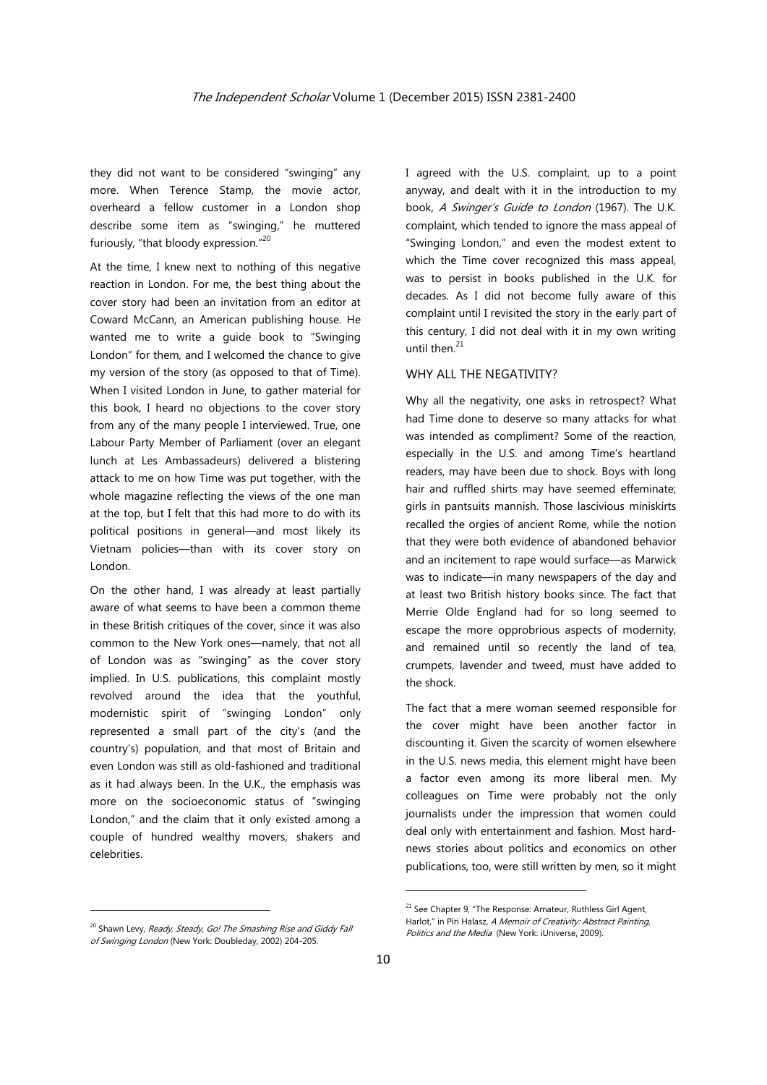they did not want to be considered "swinging" any more. When Terence Stamp, the movie actor, overheard a fellow customer in a London shop describe some item as "swinging," he muttered furiously, "that bloody expression."20

At the time, I knew next to nothing of this negative reaction in London. For me, the best thing about the cover story had been an invitation from an editor at Coward McCann, an American publishing house. He wanted me to write a guide book to "Swinging London" for them, and I welcomed the chance to give my version of the story (as opposed to that of Time). When I visited London in June, to gather material for this book, I heard no objections to the cover story from any of the many people I interviewed. True, one Labour Party Member of Parliament (over an elegant lunch at Les Ambassadeurs) delivered a blistering attack to me on how Time was put together, with the whole magazine reflecting the views of the one man at the top, but I felt that this had more to do with its political positions in general—and most likely its Vietnam policies—than with its cover story on London.

On the other hand, I was already at least partially aware of what seems to have been a common theme in these British critiques of the cover, since it was also common to the New York ones—namely, that not all of London was as "swinging" as the cover story implied. In U.S. publications, this complaint mostly revolved around the idea that the youthful, modernistic spirit of "swinging London" only represented a small part of the city's (and the country's) population, and that most of Britain and even London was still as old-fashioned and traditional as it had always been. In the U.K., the emphasis was more on the socioeconomic status of "swinging London," and the claim that it only existed among a couple of hundred wealthy movers, shakers and celebrities.

I agreed with the U.S. complaint, up to a point anyway, and dealt with it in the introduction to my book, A Swinger's Guide to London (1967). The U.K. complaint, which tended to ignore the mass appeal of "Swinging London," and even the modest extent to which the Time cover recognized this mass appeal, was to persist in books published in the U.K. for decades. As I did not become fully aware of this complaint until I revisited the story in the early part of this century, I did not deal with it in my own writing until then. $^{21}$ 

## WHY ALL THE NEGATIVITY?

Why all the negativity, one asks in retrospect? What had Time done to deserve so many attacks for what was intended as compliment? Some of the reaction, especially in the U.S. and among Time's heartland readers, may have been due to shock. Boys with long hair and ruffled shirts may have seemed effeminate; girls in pantsuits mannish. Those lascivious miniskirts recalled the orgies of ancient Rome, while the notion that they were both evidence of abandoned behavior and an incitement to rape would surface—as Marwick was to indicate—in many newspapers of the day and at least two British history books since. The fact that Merrie Olde England had for so long seemed to escape the more opprobrious aspects of modernity, and remained until so recently the land of tea, crumpets, lavender and tweed, must have added to the shock.

The fact that a mere woman seemed responsible for the cover might have been another factor in discounting it. Given the scarcity of women elsewhere in the U.S. news media, this element might have been a factor even among its more liberal men. My colleagues on Time were probably not the only journalists under the impression that women could deal only with entertainment and fashion. Most hardnews stories about politics and economics on other publications, too, were still written by men, so it might

<u> Andrew Maria (1989)</u>

<sup>&</sup>lt;sup>20</sup> Shawn Levy, Ready, Steady, Go! The Smashing Rise and Giddy Fall of Swinging London (New York: Doubleday, 2002) 204-205.

 $21$  See Chapter 9, "The Response: Amateur, Ruthless Girl Agent, Harlot," in Piri Halasz, A Memoir of Creativity: Abstract Painting, Politics and the Media (New York: iUniverse, 2009).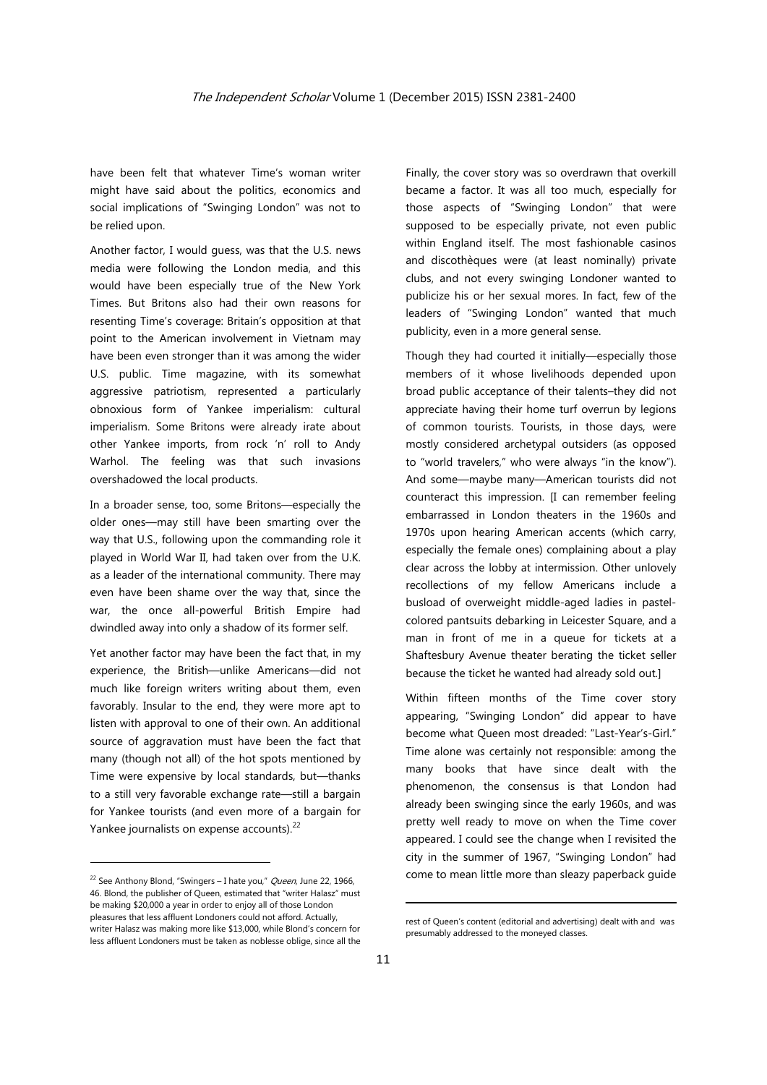have been felt that whatever Time's woman writer might have said about the politics, economics and social implications of "Swinging London" was not to be relied upon.

Another factor, I would guess, was that the U.S. news media were following the London media, and this would have been especially true of the New York Times. But Britons also had their own reasons for resenting Time's coverage: Britain's opposition at that point to the American involvement in Vietnam may have been even stronger than it was among the wider U.S. public. Time magazine, with its somewhat aggressive patriotism, represented a particularly obnoxious form of Yankee imperialism: cultural imperialism. Some Britons were already irate about other Yankee imports, from rock 'n' roll to Andy Warhol. The feeling was that such invasions overshadowed the local products.

In a broader sense, too, some Britons—especially the older ones—may still have been smarting over the way that U.S., following upon the commanding role it played in World War II, had taken over from the U.K. as a leader of the international community. There may even have been shame over the way that, since the war, the once all-powerful British Empire had dwindled away into only a shadow of its former self.

Yet another factor may have been the fact that, in my experience, the British—unlike Americans—did not much like foreign writers writing about them, even favorably. Insular to the end, they were more apt to listen with approval to one of their own. An additional source of aggravation must have been the fact that many (though not all) of the hot spots mentioned by Time were expensive by local standards, but—thanks to a still very favorable exchange rate—still a bargain for Yankee tourists (and even more of a bargain for Yankee journalists on expense accounts).<sup>22</sup>

Finally, the cover story was so overdrawn that overkill became a factor. It was all too much, especially for those aspects of "Swinging London" that were supposed to be especially private, not even public within England itself. The most fashionable casinos and discothèques were (at least nominally) private clubs, and not every swinging Londoner wanted to publicize his or her sexual mores. In fact, few of the leaders of "Swinging London" wanted that much publicity, even in a more general sense.

Though they had courted it initially—especially those members of it whose livelihoods depended upon broad public acceptance of their talents–they did not appreciate having their home turf overrun by legions of common tourists. Tourists, in those days, were mostly considered archetypal outsiders (as opposed to "world travelers," who were always "in the know"). And some—maybe many—American tourists did not counteract this impression. [I can remember feeling embarrassed in London theaters in the 1960s and 1970s upon hearing American accents (which carry, especially the female ones) complaining about a play clear across the lobby at intermission. Other unlovely recollections of my fellow Americans include a busload of overweight middle-aged ladies in pastelcolored pantsuits debarking in Leicester Square, and a man in front of me in a queue for tickets at a Shaftesbury Avenue theater berating the ticket seller because the ticket he wanted had already sold out.]

Within fifteen months of the Time cover story appearing, "Swinging London" did appear to have become what Queen most dreaded: "Last-Year's-Girl." Time alone was certainly not responsible: among the many books that have since dealt with the phenomenon, the consensus is that London had already been swinging since the early 1960s, and was pretty well ready to move on when the Time cover appeared. I could see the change when I revisited the city in the summer of 1967, "Swinging London" had come to mean little more than sleazy paperback guide

<sup>&</sup>lt;sup>22</sup> See Anthony Blond, "Swingers – I hate you," Queen, June 22, 1966, 46. Blond, the publisher of Queen, estimated that "writer Halasz" must be making \$20,000 a year in order to enjoy all of those London pleasures that less affluent Londoners could not afford. Actually, writer Halasz was making more like \$13,000, while Blond's concern for less affluent Londoners must be taken as noblesse oblige, since all the

rest of Queen's content (editorial and advertising) dealt with and was presumably addressed to the moneyed classes.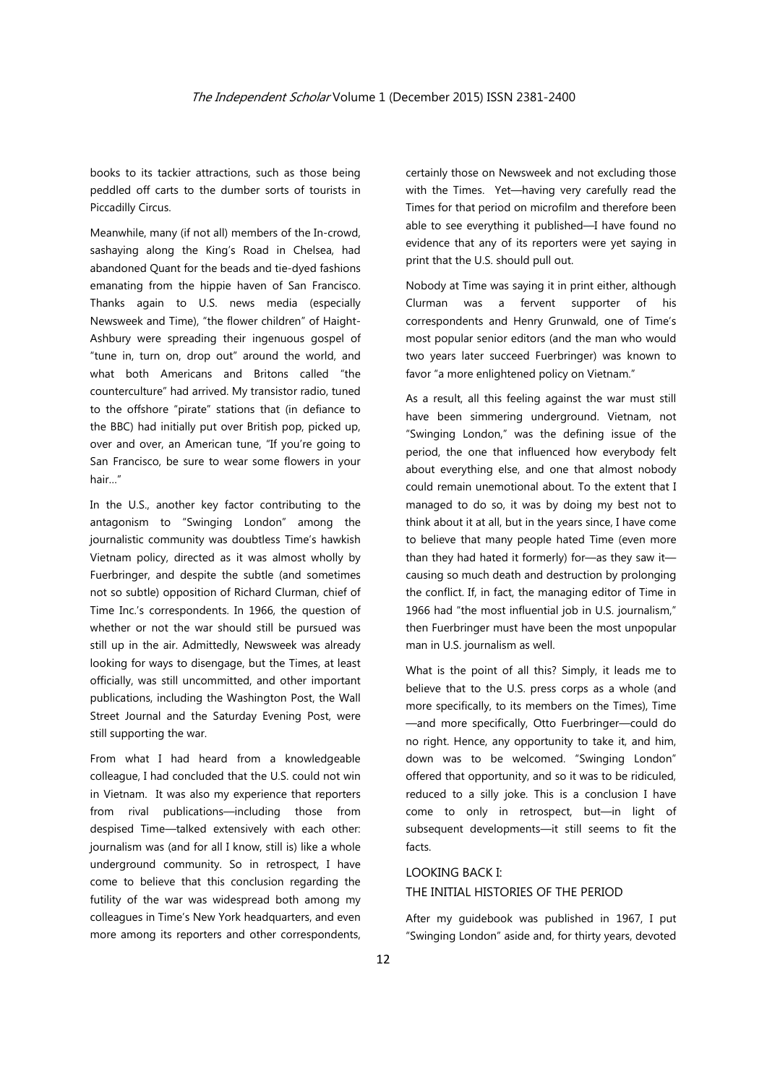books to its tackier attractions, such as those being peddled off carts to the dumber sorts of tourists in Piccadilly Circus.

Meanwhile, many (if not all) members of the In-crowd, sashaying along the King's Road in Chelsea, had abandoned Quant for the beads and tie-dyed fashions emanating from the hippie haven of San Francisco. Thanks again to U.S. news media (especially Newsweek and Time), "the flower children" of Haight-Ashbury were spreading their ingenuous gospel of "tune in, turn on, drop out" around the world, and what both Americans and Britons called "the counterculture" had arrived. My transistor radio, tuned to the offshore "pirate" stations that (in defiance to the BBC) had initially put over British pop, picked up, over and over, an American tune, "If you're going to San Francisco, be sure to wear some flowers in your hair…"

In the U.S., another key factor contributing to the antagonism to "Swinging London" among the journalistic community was doubtless Time's hawkish Vietnam policy, directed as it was almost wholly by Fuerbringer, and despite the subtle (and sometimes not so subtle) opposition of Richard Clurman, chief of Time Inc.'s correspondents. In 1966, the question of whether or not the war should still be pursued was still up in the air. Admittedly, Newsweek was already looking for ways to disengage, but the Times, at least officially, was still uncommitted, and other important publications, including the Washington Post, the Wall Street Journal and the Saturday Evening Post, were still supporting the war.

From what I had heard from a knowledgeable colleague, I had concluded that the U.S. could not win in Vietnam. It was also my experience that reporters from rival publications—including those from despised Time—talked extensively with each other: journalism was (and for all I know, still is) like a whole underground community. So in retrospect, I have come to believe that this conclusion regarding the futility of the war was widespread both among my colleagues in Time's New York headquarters, and even more among its reporters and other correspondents,

certainly those on Newsweek and not excluding those with the Times. Yet—having very carefully read the Times for that period on microfilm and therefore been able to see everything it published—I have found no evidence that any of its reporters were yet saying in print that the U.S. should pull out.

Nobody at Time was saying it in print either, although Clurman was a fervent supporter of his correspondents and Henry Grunwald, one of Time's most popular senior editors (and the man who would two years later succeed Fuerbringer) was known to favor "a more enlightened policy on Vietnam."

As a result, all this feeling against the war must still have been simmering underground. Vietnam, not "Swinging London," was the defining issue of the period, the one that influenced how everybody felt about everything else, and one that almost nobody could remain unemotional about. To the extent that I managed to do so, it was by doing my best not to think about it at all, but in the years since, I have come to believe that many people hated Time (even more than they had hated it formerly) for—as they saw it causing so much death and destruction by prolonging the conflict. If, in fact, the managing editor of Time in 1966 had "the most influential job in U.S. journalism," then Fuerbringer must have been the most unpopular man in U.S. journalism as well.

What is the point of all this? Simply, it leads me to believe that to the U.S. press corps as a whole (and more specifically, to its members on the Times), Time —and more specifically, Otto Fuerbringer—could do no right. Hence, any opportunity to take it, and him, down was to be welcomed. "Swinging London" offered that opportunity, and so it was to be ridiculed, reduced to a silly joke. This is a conclusion I have come to only in retrospect, but—in light of subsequent developments—it still seems to fit the facts.

#### LOOKING BACK I:

#### THE INITIAL HISTORIES OF THE PERIOD

After my guidebook was published in 1967, I put "Swinging London" aside and, for thirty years, devoted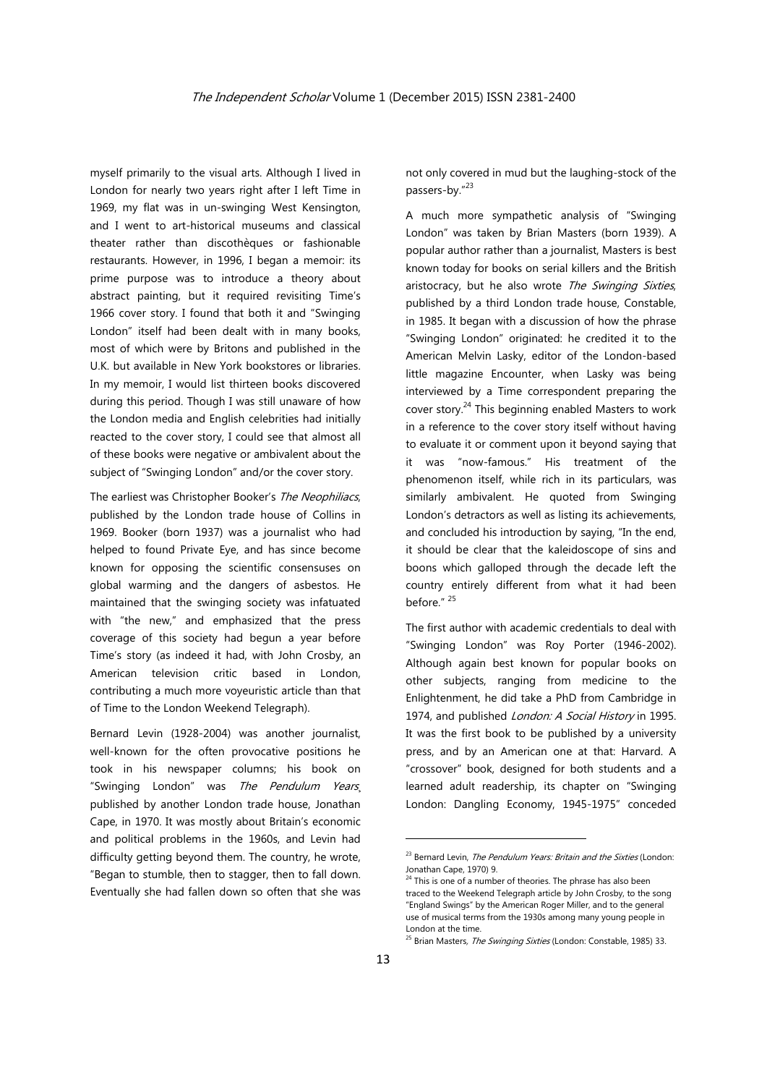myself primarily to the visual arts. Although I lived in London for nearly two years right after I left Time in 1969, my flat was in un-swinging West Kensington, and I went to art-historical museums and classical theater rather than discothèques or fashionable restaurants. However, in 1996, I began a memoir: its prime purpose was to introduce a theory about abstract painting, but it required revisiting Time's 1966 cover story. I found that both it and "Swinging London" itself had been dealt with in many books, most of which were by Britons and published in the U.K. but available in New York bookstores or libraries. In my memoir, I would list thirteen books discovered during this period. Though I was still unaware of how the London media and English celebrities had initially reacted to the cover story, I could see that almost all of these books were negative or ambivalent about the subject of "Swinging London" and/or the cover story.

The earliest was Christopher Booker's The Neophiliacs, published by the London trade house of Collins in 1969. Booker (born 1937) was a journalist who had helped to found Private Eye, and has since become known for opposing the scientific consensuses on global warming and the dangers of asbestos. He maintained that the swinging society was infatuated with "the new," and emphasized that the press coverage of this society had begun a year before Time's story (as indeed it had, with John Crosby, an American television critic based in London, contributing a much more voyeuristic article than that of Time to the London Weekend Telegraph).

Bernard Levin (1928-2004) was another journalist, well-known for the often provocative positions he took in his newspaper columns; his book on "Swinging London" was The Pendulum Years, published by another London trade house, Jonathan Cape, in 1970. It was mostly about Britain's economic and political problems in the 1960s, and Levin had difficulty getting beyond them. The country, he wrote, "Began to stumble, then to stagger, then to fall down. Eventually she had fallen down so often that she was not only covered in mud but the laughing-stock of the passers-by."<sup>23</sup>

A much more sympathetic analysis of "Swinging London" was taken by Brian Masters (born 1939). A popular author rather than a journalist, Masters is best known today for books on serial killers and the British aristocracy, but he also wrote The Swinging Sixties, published by a third London trade house, Constable, in 1985. It began with a discussion of how the phrase "Swinging London" originated: he credited it to the American Melvin Lasky, editor of the London-based little magazine Encounter, when Lasky was being interviewed by a Time correspondent preparing the cover story. $24$  This beginning enabled Masters to work in a reference to the cover story itself without having to evaluate it or comment upon it beyond saying that it was "now-famous." His treatment of the phenomenon itself, while rich in its particulars, was similarly ambivalent. He quoted from Swinging London's detractors as well as listing its achievements, and concluded his introduction by saying, "In the end, it should be clear that the kaleidoscope of sins and boons which galloped through the decade left the country entirely different from what it had been before." 25

The first author with academic credentials to deal with "Swinging London" was Roy Porter (1946-2002). Although again best known for popular books on other subjects, ranging from medicine to the Enlightenment, he did take a PhD from Cambridge in 1974, and published *London: A Social History* in 1995. It was the first book to be published by a university press, and by an American one at that: Harvard. A "crossover" book, designed for both students and a learned adult readership, its chapter on "Swinging London: Dangling Economy, 1945-1975" conceded

 $23$  Bernard Levin, The Pendulum Years: Britain and the Sixties (London: Jonathan Cape, 1970) 9.

<sup>&</sup>lt;sup>24</sup> This is one of a number of theories. The phrase has also been traced to the Weekend Telegraph article by John Crosby, to the song "England Swings" by the American Roger Miller, and to the general use of musical terms from the 1930s among many young people in London at the time.

<sup>&</sup>lt;sup>25</sup> Brian Masters, *The Swinging Sixties* (London: Constable, 1985) 33.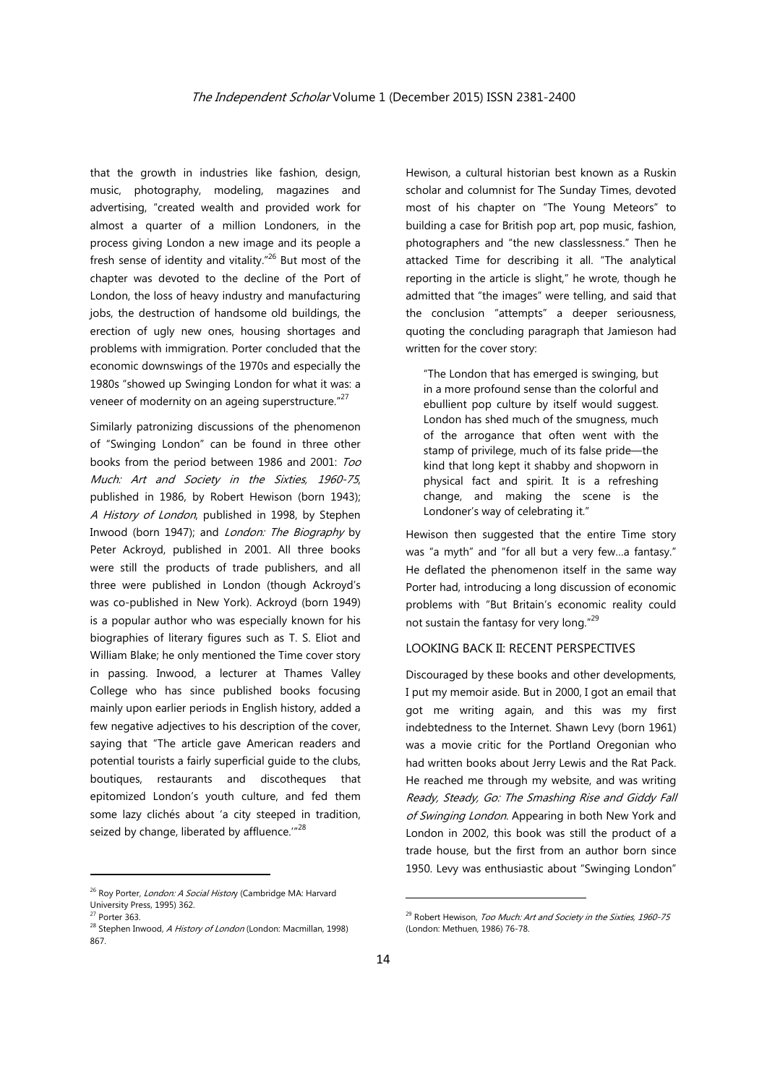that the growth in industries like fashion, design, music, photography, modeling, magazines and advertising, "created wealth and provided work for almost a quarter of a million Londoners, in the process giving London a new image and its people a fresh sense of identity and vitality. $n^{26}$  But most of the chapter was devoted to the decline of the Port of London, the loss of heavy industry and manufacturing jobs, the destruction of handsome old buildings, the erection of ugly new ones, housing shortages and problems with immigration. Porter concluded that the economic downswings of the 1970s and especially the 1980s "showed up Swinging London for what it was: a veneer of modernity on an ageing superstructure."<sup>27</sup>

Similarly patronizing discussions of the phenomenon of "Swinging London" can be found in three other books from the period between 1986 and 2001: Too Much: Art and Society in the Sixties, 1960-75, published in 1986, by Robert Hewison (born 1943); A History of London, published in 1998, by Stephen Inwood (born 1947); and *London: The Biography* by Peter Ackroyd, published in 2001. All three books were still the products of trade publishers, and all three were published in London (though Ackroyd's was co-published in New York). Ackroyd (born 1949) is a popular author who was especially known for his biographies of literary figures such as T. S. Eliot and William Blake; he only mentioned the Time cover story in passing. Inwood, a lecturer at Thames Valley College who has since published books focusing mainly upon earlier periods in English history, added a few negative adjectives to his description of the cover, saying that "The article gave American readers and potential tourists a fairly superficial guide to the clubs, boutiques, restaurants and discotheques that epitomized London's youth culture, and fed them some lazy clichés about 'a city steeped in tradition, seized by change, liberated by affluence."<sup>28</sup>

Hewison, a cultural historian best known as a Ruskin scholar and columnist for The Sunday Times, devoted most of his chapter on "The Young Meteors" to building a case for British pop art, pop music, fashion, photographers and "the new classlessness." Then he attacked Time for describing it all. "The analytical reporting in the article is slight," he wrote, though he admitted that "the images" were telling, and said that the conclusion "attempts" a deeper seriousness, quoting the concluding paragraph that Jamieson had written for the cover story:

"The London that has emerged is swinging, but in a more profound sense than the colorful and ebullient pop culture by itself would suggest. London has shed much of the smugness, much of the arrogance that often went with the stamp of privilege, much of its false pride—the kind that long kept it shabby and shopworn in physical fact and spirit. It is a refreshing change, and making the scene is the Londoner's way of celebrating it."

Hewison then suggested that the entire Time story was "a myth" and "for all but a very few…a fantasy." He deflated the phenomenon itself in the same way Porter had, introducing a long discussion of economic problems with "But Britain's economic reality could not sustain the fantasy for very long."<sup>29</sup>

## LOOKING BACK II: RECENT PERSPECTIVES

Discouraged by these books and other developments, I put my memoir aside. But in 2000, I got an email that got me writing again, and this was my first indebtedness to the Internet. Shawn Levy (born 1961) was a movie critic for the Portland Oregonian who had written books about Jerry Lewis and the Rat Pack. He reached me through my website, and was writing Ready, Steady, Go: The Smashing Rise and Giddy Fall of Swinging London. Appearing in both New York and London in 2002, this book was still the product of a trade house, but the first from an author born since 1950. Levy was enthusiastic about "Swinging London"

<sup>&</sup>lt;sup>26</sup> Roy Porter, London: A Social History (Cambridge MA: Harvard University Press, 1995) 362.

<sup>27</sup> Porter 363.

<sup>&</sup>lt;sup>28</sup> Stephen Inwood, A History of London (London: Macmillan, 1998) 867.

 $29$  Robert Hewison, Too Much: Art and Society in the Sixties, 1960-75 (London: Methuen, 1986) 76-78.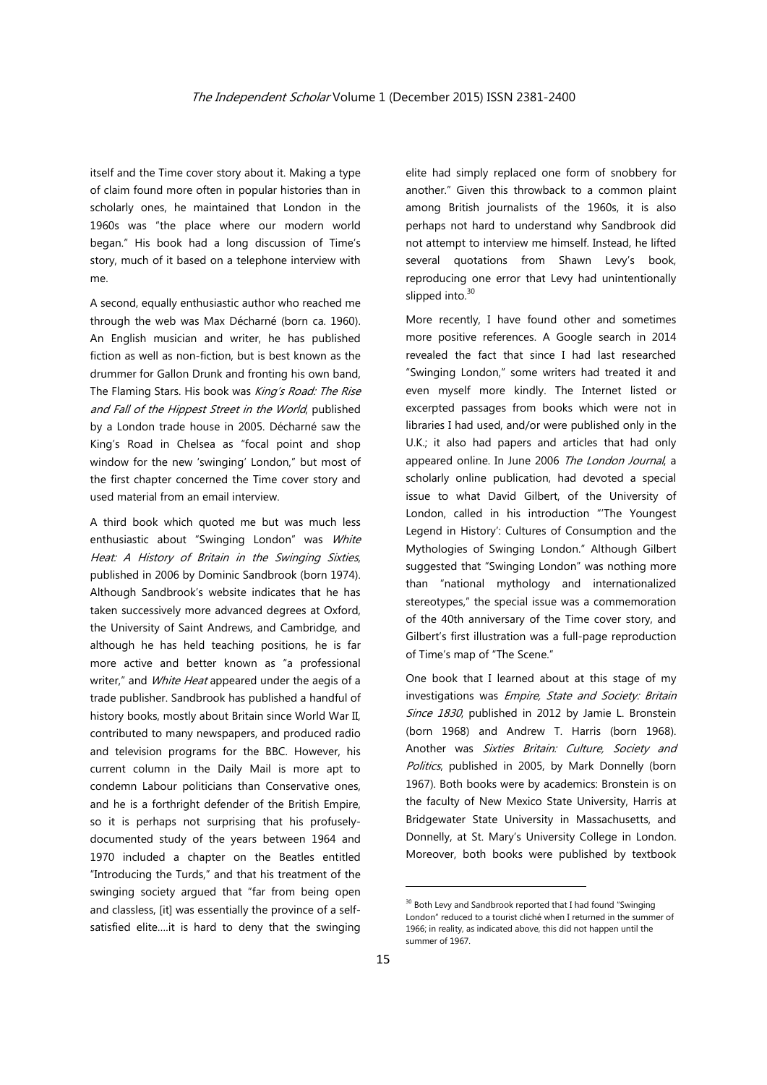itself and the Time cover story about it. Making a type of claim found more often in popular histories than in scholarly ones, he maintained that London in the 1960s was "the place where our modern world began." His book had a long discussion of Time's story, much of it based on a telephone interview with me.

A second, equally enthusiastic author who reached me through the web was Max Décharné (born ca. 1960). An English musician and writer, he has published fiction as well as non-fiction, but is best known as the drummer for Gallon Drunk and fronting his own band, The Flaming Stars. His book was King's Road: The Rise and Fall of the Hippest Street in the World, published by a London trade house in 2005. Décharné saw the King's Road in Chelsea as "focal point and shop window for the new 'swinging' London," but most of the first chapter concerned the Time cover story and used material from an email interview.

A third book which quoted me but was much less enthusiastic about "Swinging London" was White Heat: A History of Britain in the Swinging Sixties, published in 2006 by Dominic Sandbrook (born 1974). Although Sandbrook's website indicates that he has taken successively more advanced degrees at Oxford, the University of Saint Andrews, and Cambridge, and although he has held teaching positions, he is far more active and better known as "a professional writer," and White Heat appeared under the aegis of a trade publisher. Sandbrook has published a handful of history books, mostly about Britain since World War II, contributed to many newspapers, and produced radio and television programs for the BBC. However, his current column in the Daily Mail is more apt to condemn Labour politicians than Conservative ones, and he is a forthright defender of the British Empire, so it is perhaps not surprising that his profuselydocumented study of the years between 1964 and 1970 included a chapter on the Beatles entitled "Introducing the Turds," and that his treatment of the swinging society argued that "far from being open and classless, [it] was essentially the province of a selfsatisfied elite….it is hard to deny that the swinging

elite had simply replaced one form of snobbery for another." Given this throwback to a common plaint among British journalists of the 1960s, it is also perhaps not hard to understand why Sandbrook did not attempt to interview me himself. Instead, he lifted several quotations from Shawn Levy's book, reproducing one error that Levy had unintentionally slipped into.<sup>30</sup>

More recently, I have found other and sometimes more positive references. A Google search in 2014 revealed the fact that since I had last researched "Swinging London," some writers had treated it and even myself more kindly. The Internet listed or excerpted passages from books which were not in libraries I had used, and/or were published only in the U.K.; it also had papers and articles that had only appeared online. In June 2006 The London Journal, a scholarly online publication, had devoted a special issue to what David Gilbert, of the University of London, called in his introduction "'The Youngest Legend in History': Cultures of Consumption and the Mythologies of Swinging London." Although Gilbert suggested that "Swinging London" was nothing more than "national mythology and internationalized stereotypes," the special issue was a commemoration of the 40th anniversary of the Time cover story, and Gilbert's first illustration was a full-page reproduction of Time's map of "The Scene."

One book that I learned about at this stage of my investigations was Empire, State and Society: Britain Since 1830, published in 2012 by Jamie L. Bronstein (born 1968) and Andrew T. Harris (born 1968). Another was Sixties Britain: Culture, Society and Politics, published in 2005, by Mark Donnelly (born 1967). Both books were by academics: Bronstein is on the faculty of New Mexico State University, Harris at Bridgewater State University in Massachusetts, and Donnelly, at St. Mary's University College in London. Moreover, both books were published by textbook

 $30$  Both Levy and Sandbrook reported that I had found "Swinging London" reduced to a tourist cliché when I returned in the summer of 1966; in reality, as indicated above, this did not happen until the summer of 1967.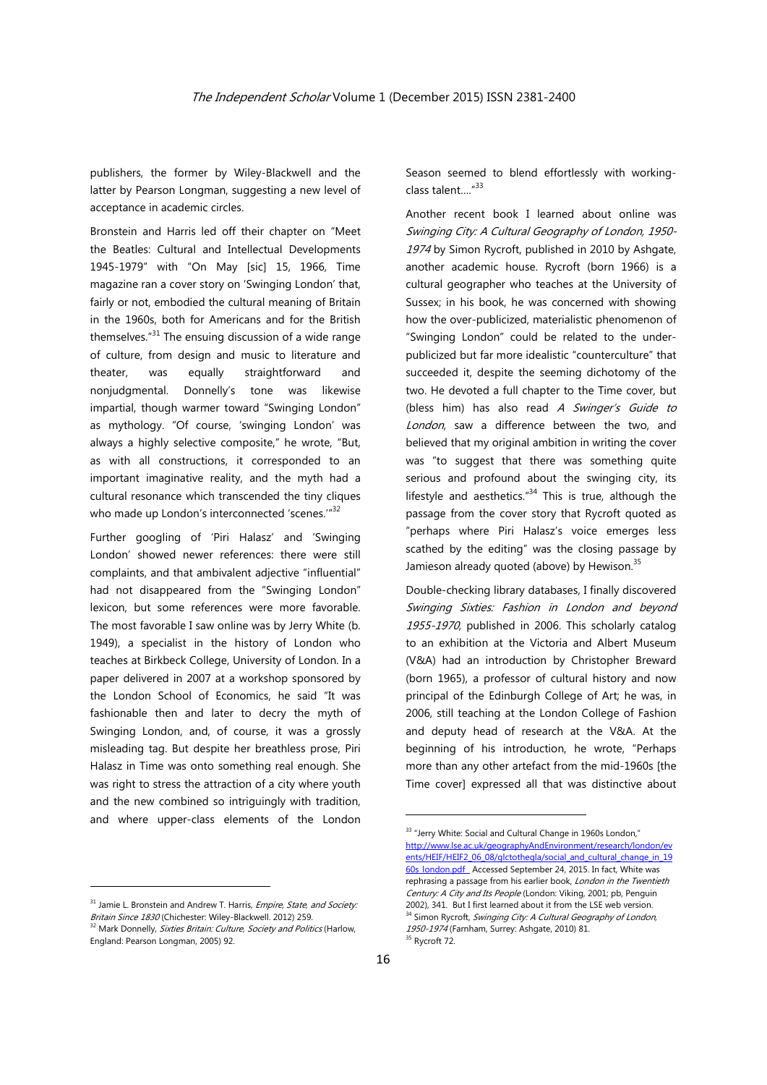publishers, the former by Wiley-Blackwell and the latter by Pearson Longman, suggesting a new level of acceptance in academic circles.

Bronstein and Harris led off their chapter on "Meet the Beatles: Cultural and Intellectual Developments 1945-1979" with "On May [sic] 15, 1966, Time magazine ran a cover story on 'Swinging London' that, fairly or not, embodied the cultural meaning of Britain in the 1960s, both for Americans and for the British themselves. $"31$  The ensuing discussion of a wide range of culture, from design and music to literature and theater, was equally straightforward and nonjudgmental. Donnelly's tone was likewise impartial, though warmer toward "Swinging London" as mythology. "Of course, 'swinging London' was always a highly selective composite," he wrote, "But, as with all constructions, it corresponded to an important imaginative reality, and the myth had a cultural resonance which transcended the tiny cliques who made up London's interconnected 'scenes."<sup>32</sup>

Further googling of 'Piri Halasz' and 'Swinging London' showed newer references: there were still complaints, and that ambivalent adjective "influential" had not disappeared from the "Swinging London" lexicon, but some references were more favorable. The most favorable I saw online was by Jerry White (b. 1949), a specialist in the history of London who teaches at Birkbeck College, University of London. In a paper delivered in 2007 at a workshop sponsored by the London School of Economics, he said "It was fashionable then and later to decry the myth of Swinging London, and, of course, it was a grossly misleading tag. But despite her breathless prose, Piri Halasz in Time was onto something real enough. She was right to stress the attraction of a city where youth and the new combined so intriguingly with tradition, and where upper-class elements of the London

<sup>31</sup> Jamie L. Bronstein and Andrew T. Harris, *Empire, State, and Society:* Britain Since 1830 (Chichester: Wiley-Blackwell. 2012) 259.<br><sup>32</sup> Mark Donnelly, *Sixties Britain: Culture, Society and Politics* (Harlow, England: Pearson Longman, 2005) 92.

<u> Andrew Maria (1989)</u>

Season seemed to blend effortlessly with workingclass talent...."<sup>33</sup>

Another recent book I learned about online was Swinging City: A Cultural Geography of London, 1950- 1974 by Simon Rycroft, published in 2010 by Ashgate, another academic house. Rycroft (born 1966) is a cultural geographer who teaches at the University of Sussex; in his book, he was concerned with showing how the over-publicized, materialistic phenomenon of "Swinging London" could be related to the underpublicized but far more idealistic "counterculture" that succeeded it, despite the seeming dichotomy of the two. He devoted a full chapter to the Time cover, but (bless him) has also read A Swinger's Guide to London, saw a difference between the two, and believed that my original ambition in writing the cover was "to suggest that there was something quite serious and profound about the swinging city, its lifestyle and aesthetics." $34$  This is true, although the passage from the cover story that Rycroft quoted as "perhaps where Piri Halasz's voice emerges less scathed by the editing" was the closing passage by Jamieson already quoted (above) by Hewison. $35$ 

Double-checking library databases, I finally discovered Swinging Sixties: Fashion in London and beyond 1955-1970, published in 2006. This scholarly catalog to an exhibition at the Victoria and Albert Museum (V&A) had an introduction by Christopher Breward (born 1965), a professor of cultural history and now principal of the Edinburgh College of Art; he was, in 2006, still teaching at the London College of Fashion and deputy head of research at the V&A. At the beginning of his introduction, he wrote, "Perhaps more than any other artefact from the mid-1960s [the Time cover] expressed all that was distinctive about

<sup>&</sup>lt;sup>33</sup> "Jerry White: Social and Cultural Change in 1960s London," http://www.lse.ac.uk/geographyAndEnvironment/research/london/ev ents/HEIF/HEIF2\_06\_08/glctothegla/social\_and\_cultural\_change\_in\_19 60s london.pdf Accessed September 24, 2015. In fact, White was rephrasing a passage from his earlier book, London in the Twentieth Century: A City and Its People (London: Viking, 2001; pb, Penguin 2002), 341. But I first learned about it from the LSE web version. <sup>34</sup> Simon Rycroft, Swinging City: A Cultural Geography of London, 1950-1974 (Farnham, Surrey: Ashgate, 2010) 81.<br><sup>35</sup> Rycroft 72.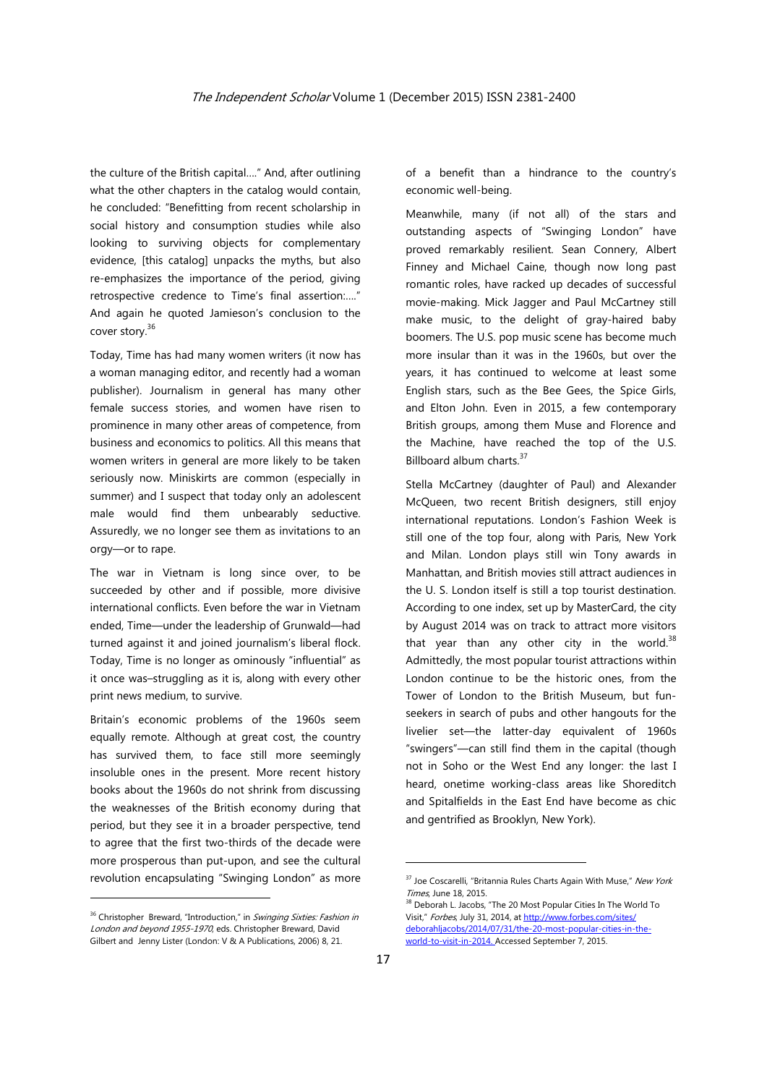the culture of the British capital…." And, after outlining what the other chapters in the catalog would contain, he concluded: "Benefitting from recent scholarship in social history and consumption studies while also looking to surviving objects for complementary evidence, [this catalog] unpacks the myths, but also re-emphasizes the importance of the period, giving retrospective credence to Time's final assertion:…." And again he quoted Jamieson's conclusion to the cover story.<sup>36</sup>

Today, Time has had many women writers (it now has a woman managing editor, and recently had a woman publisher). Journalism in general has many other female success stories, and women have risen to prominence in many other areas of competence, from business and economics to politics. All this means that women writers in general are more likely to be taken seriously now. Miniskirts are common (especially in summer) and I suspect that today only an adolescent male would find them unbearably seductive. Assuredly, we no longer see them as invitations to an orgy—or to rape.

The war in Vietnam is long since over, to be succeeded by other and if possible, more divisive international conflicts. Even before the war in Vietnam ended, Time—under the leadership of Grunwald—had turned against it and joined journalism's liberal flock. Today, Time is no longer as ominously "influential" as it once was–struggling as it is, along with every other print news medium, to survive.

Britain's economic problems of the 1960s seem equally remote. Although at great cost, the country has survived them, to face still more seemingly insoluble ones in the present. More recent history books about the 1960s do not shrink from discussing the weaknesses of the British economy during that period, but they see it in a broader perspective, tend to agree that the first two-thirds of the decade were more prosperous than put-upon, and see the cultural revolution encapsulating "Swinging London" as more

of a benefit than a hindrance to the country's economic well-being.

Meanwhile, many (if not all) of the stars and outstanding aspects of "Swinging London" have proved remarkably resilient. Sean Connery, Albert Finney and Michael Caine, though now long past romantic roles, have racked up decades of successful movie-making. Mick Jagger and Paul McCartney still make music, to the delight of gray-haired baby boomers. The U.S. pop music scene has become much more insular than it was in the 1960s, but over the years, it has continued to welcome at least some English stars, such as the Bee Gees, the Spice Girls, and Elton John. Even in 2015, a few contemporary British groups, among them Muse and Florence and the Machine, have reached the top of the U.S. Billboard album charts.<sup>37</sup>

Stella McCartney (daughter of Paul) and Alexander McQueen, two recent British designers, still enjoy international reputations. London's Fashion Week is still one of the top four, along with Paris, New York and Milan. London plays still win Tony awards in Manhattan, and British movies still attract audiences in the U. S. London itself is still a top tourist destination. According to one index, set up by MasterCard, the city by August 2014 was on track to attract more visitors that year than any other city in the world. $38$ Admittedly, the most popular tourist attractions within London continue to be the historic ones, from the Tower of London to the British Museum, but funseekers in search of pubs and other hangouts for the livelier set—the latter-day equivalent of 1960s "swingers"—can still find them in the capital (though not in Soho or the West End any longer: the last I heard, onetime working-class areas like Shoreditch and Spitalfields in the East End have become as chic and gentrified as Brooklyn, New York).

<sup>&</sup>lt;sup>36</sup> Christopher Breward, "Introduction," in Swinging Sixties: Fashion in London and beyond 1955-1970, eds. Christopher Breward, David Gilbert and Jenny Lister (London: V & A Publications, 2006) 8, 21.

<sup>&</sup>lt;sup>37</sup> Joe Coscarelli, "Britannia Rules Charts Again With Muse," New York Times, June 18, 2015.<br><sup>38</sup> Deborah L. Jacobs, "The 20 Most Popular Cities In The World To

Visit," Forbes, July 31, 2014, at http://www.forbes.com/sites/ deborahljacobs/2014/07/31/the-20-most-popular-cities-in-theworld-to-visit-in-2014. Accessed September 7, 2015.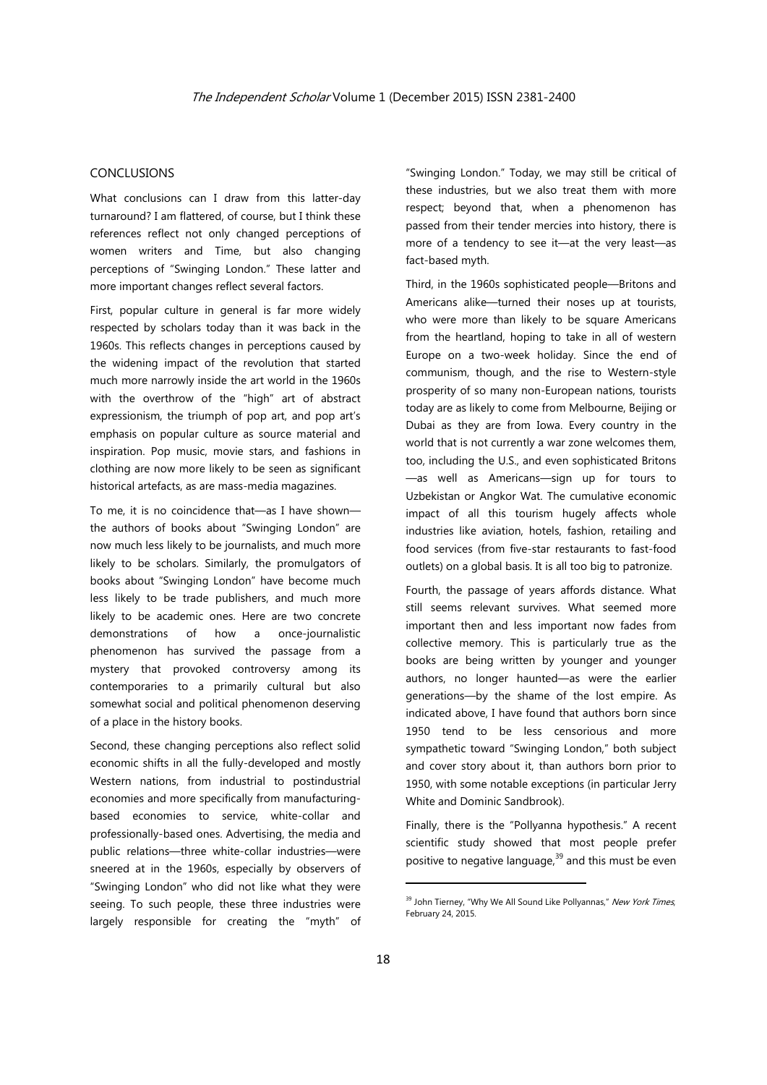#### CONCLUSIONS

What conclusions can I draw from this latter-day turnaround? I am flattered, of course, but I think these references reflect not only changed perceptions of women writers and Time, but also changing perceptions of "Swinging London." These latter and more important changes reflect several factors.

First, popular culture in general is far more widely respected by scholars today than it was back in the 1960s. This reflects changes in perceptions caused by the widening impact of the revolution that started much more narrowly inside the art world in the 1960s with the overthrow of the "high" art of abstract expressionism, the triumph of pop art, and pop art's emphasis on popular culture as source material and inspiration. Pop music, movie stars, and fashions in clothing are now more likely to be seen as significant historical artefacts, as are mass-media magazines.

To me, it is no coincidence that—as I have shown the authors of books about "Swinging London" are now much less likely to be journalists, and much more likely to be scholars. Similarly, the promulgators of books about "Swinging London" have become much less likely to be trade publishers, and much more likely to be academic ones. Here are two concrete demonstrations of how a once-journalistic phenomenon has survived the passage from a mystery that provoked controversy among its contemporaries to a primarily cultural but also somewhat social and political phenomenon deserving of a place in the history books.

Second, these changing perceptions also reflect solid economic shifts in all the fully-developed and mostly Western nations, from industrial to postindustrial economies and more specifically from manufacturingbased economies to service, white-collar and professionally-based ones. Advertising, the media and public relations—three white-collar industries—were sneered at in the 1960s, especially by observers of "Swinging London" who did not like what they were seeing. To such people, these three industries were largely responsible for creating the "myth" of

"Swinging London." Today, we may still be critical of these industries, but we also treat them with more respect; beyond that, when a phenomenon has passed from their tender mercies into history, there is more of a tendency to see it—at the very least—as fact-based myth.

Third, in the 1960s sophisticated people—Britons and Americans alike—turned their noses up at tourists, who were more than likely to be square Americans from the heartland, hoping to take in all of western Europe on a two-week holiday. Since the end of communism, though, and the rise to Western-style prosperity of so many non-European nations, tourists today are as likely to come from Melbourne, Beijing or Dubai as they are from Iowa. Every country in the world that is not currently a war zone welcomes them, too, including the U.S., and even sophisticated Britons —as well as Americans—sign up for tours to Uzbekistan or Angkor Wat. The cumulative economic impact of all this tourism hugely affects whole industries like aviation, hotels, fashion, retailing and food services (from five-star restaurants to fast-food outlets) on a global basis. It is all too big to patronize.

Fourth, the passage of years affords distance. What still seems relevant survives. What seemed more important then and less important now fades from collective memory. This is particularly true as the books are being written by younger and younger authors, no longer haunted—as were the earlier generations—by the shame of the lost empire. As indicated above, I have found that authors born since 1950 tend to be less censorious and more sympathetic toward "Swinging London," both subject and cover story about it, than authors born prior to 1950, with some notable exceptions (in particular Jerry White and Dominic Sandbrook).

Finally, there is the "Pollyanna hypothesis." A recent scientific study showed that most people prefer positive to negative language, $39$  and this must be even

<sup>&</sup>lt;sup>39</sup> John Tierney, "Why We All Sound Like Pollyannas," New York Times, February 24, 2015.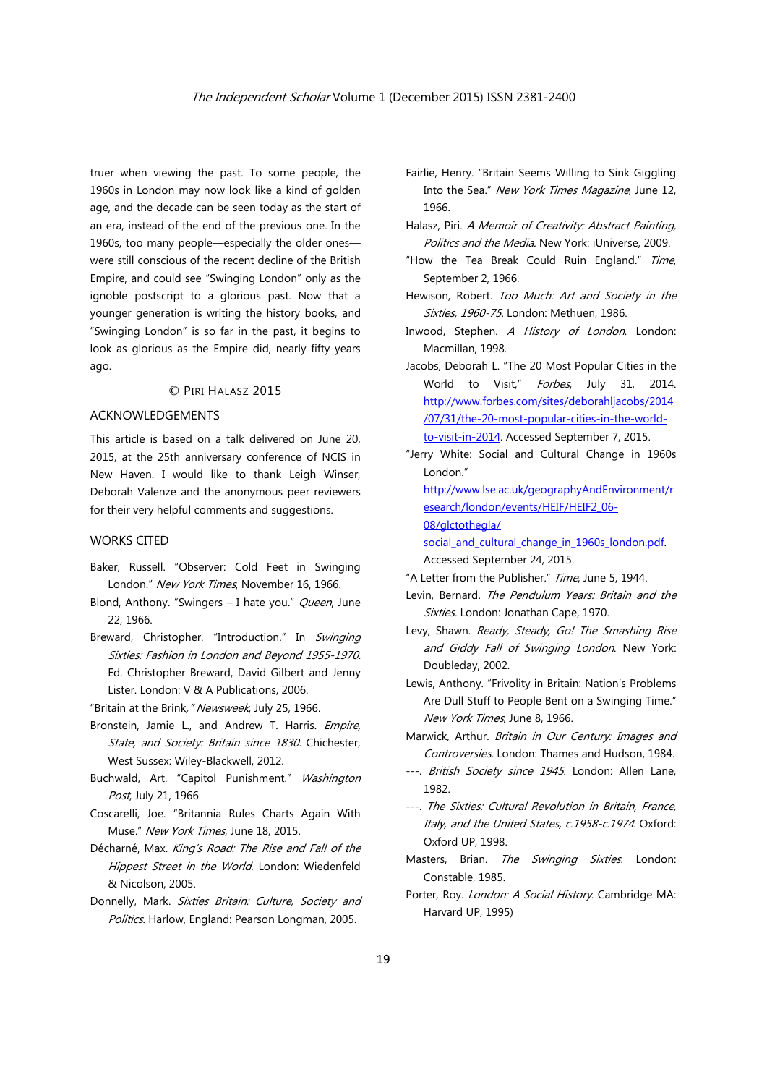truer when viewing the past. To some people, the 1960s in London may now look like a kind of golden age, and the decade can be seen today as the start of an era, instead of the end of the previous one. In the 1960s, too many people—especially the older ones were still conscious of the recent decline of the British Empire, and could see "Swinging London" only as the ignoble postscript to a glorious past. Now that a younger generation is writing the history books, and "Swinging London" is so far in the past, it begins to look as glorious as the Empire did, nearly fifty years ago.

#### © PIRI HALASZ 2015

#### ACKNOWLEDGEMENTS

This article is based on a talk delivered on June 20, 2015, at the 25th anniversary conference of NCIS in New Haven. I would like to thank Leigh Winser, Deborah Valenze and the anonymous peer reviewers for their very helpful comments and suggestions.

#### WORKS CITED

- Baker, Russell. "Observer: Cold Feet in Swinging London." New York Times, November 16, 1966.
- Blond, Anthony. "Swingers I hate you." Queen, June 22, 1966.
- Breward, Christopher. "Introduction." In Swinging Sixties: Fashion in London and Beyond 1955-1970. Ed. Christopher Breward, David Gilbert and Jenny Lister. London: V & A Publications, 2006.
- "Britain at the Brink, "Newsweek, July 25, 1966.
- Bronstein, Jamie L., and Andrew T. Harris. Empire, State, and Society: Britain since 1830. Chichester, West Sussex: Wiley-Blackwell, 2012.
- Buchwald, Art. "Capitol Punishment." Washington Post, July 21, 1966.
- Coscarelli, Joe. "Britannia Rules Charts Again With Muse." New York Times, June 18, 2015.
- Décharné, Max. King's Road: The Rise and Fall of the Hippest Street in the World. London: Wiedenfeld & Nicolson, 2005.
- Donnelly, Mark. Sixties Britain: Culture, Society and Politics. Harlow, England: Pearson Longman, 2005.
- Fairlie, Henry. "Britain Seems Willing to Sink Giggling Into the Sea." New York Times Magazine, June 12, 1966.
- Halasz, Piri. A Memoir of Creativity: Abstract Painting, Politics and the Media. New York: iUniverse, 2009.
- "How the Tea Break Could Ruin England." Time, September 2, 1966.
- Hewison, Robert. Too Much: Art and Society in the Sixties, 1960-75. London: Methuen, 1986.
- Inwood, Stephen. A History of London. London: Macmillan, 1998.
- Jacobs, Deborah L. "The 20 Most Popular Cities in the World to Visit." Forbes, July 31, 2014. http://www.forbes.com/sites/deborahljacobs/2014 /07/31/the-20-most-popular-cities-in-the-worldto-visit-in-2014. Accessed September 7, 2015.
- "Jerry White: Social and Cultural Change in 1960s London."

http://www.lse.ac.uk/geographyAndEnvironment/r esearch/london/events/HEIF/HEIF2\_06-

08/glctothegla/

social and cultural change in 1960s london.pdf. Accessed September 24, 2015.

- "A Letter from the Publisher." Time, June 5, 1944.
- Levin, Bernard. The Pendulum Years: Britain and the Sixties. London: Jonathan Cape, 1970.
- Levy, Shawn. Ready, Steady, Go! The Smashing Rise and Giddy Fall of Swinging London. New York: Doubleday, 2002.
- Lewis, Anthony. "Frivolity in Britain: Nation's Problems Are Dull Stuff to People Bent on a Swinging Time." New York Times, June 8, 1966.
- Marwick, Arthur. Britain in Our Century: Images and Controversies. London: Thames and Hudson, 1984.
- ---. British Society since 1945. London: Allen Lane, 1982.
- ---. The Sixties: Cultural Revolution in Britain, France, Italy, and the United States, c.1958-c.1974. Oxford: Oxford UP, 1998.
- Masters, Brian. The Swinging Sixties. London: Constable, 1985.
- Porter, Roy. London: A Social History. Cambridge MA: Harvard UP, 1995)